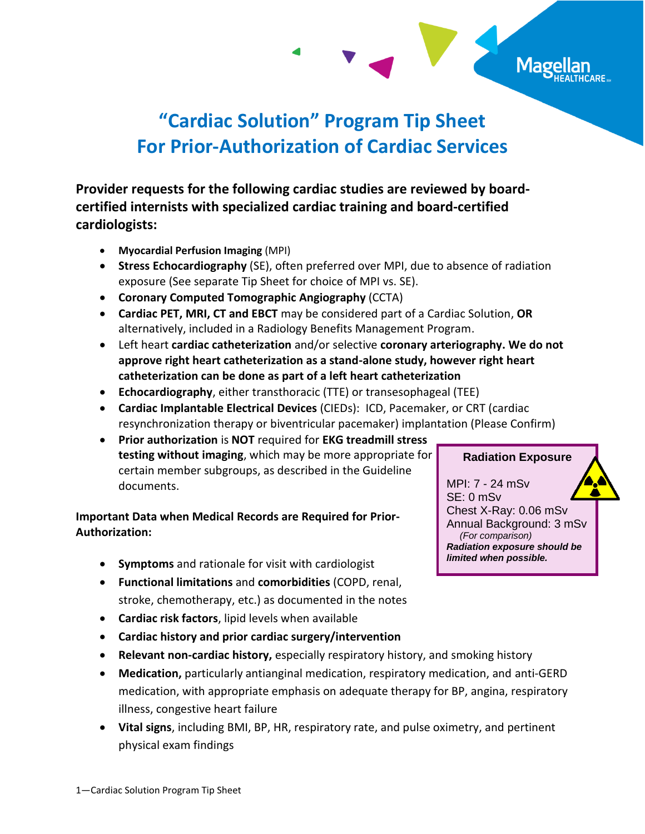

## **"Cardiac Solution" Program Tip Sheet For Prior-Authorization of Cardiac Services**

**Provider requests for the following cardiac studies are reviewed by boardcertified internists with specialized cardiac training and board-certified cardiologists:** 

- **Myocardial Perfusion Imaging** (MPI)
- **Stress Echocardiography** (SE), often preferred over MPI, due to absence of radiation exposure (See separate Tip Sheet for choice of MPI vs. SE).
- **Coronary Computed Tomographic Angiography** (CCTA)
- **Cardiac PET, MRI, CT and EBCT** may be considered part of a Cardiac Solution, **OR** alternatively, included in a Radiology Benefits Management Program.
- Left heart **cardiac catheterization** and/or selective **coronary arteriography. We do not approve right heart catheterization as a stand-alone study, however right heart catheterization can be done as part of a left heart catheterization**
- **Echocardiography**, either transthoracic (TTE) or transesophageal (TEE)
- **Cardiac Implantable Electrical Devices** (CIEDs): ICD, Pacemaker, or CRT (cardiac resynchronization therapy or biventricular pacemaker) implantation (Please Confirm)
- **Prior authorization** is **NOT** required for **EKG treadmill stress testing without imaging**, which may be more appropriate for certain member subgroups, as described in the Guideline documents.

## **Important Data when Medical Records are Required for Prior-Authorization:**

- **Symptoms** and rationale for visit with cardiologist
- **Functional limitations** and **comorbidities** (COPD, renal, stroke, chemotherapy, etc.) as documented in the notes
- **Cardiac risk factors**, lipid levels when available
- **Cardiac history and prior cardiac surgery/intervention**
- **Relevant non-cardiac history,** especially respiratory history, and smoking history
- **Medication,** particularly antianginal medication, respiratory medication, and anti-GERD medication, with appropriate emphasis on adequate therapy for BP, angina, respiratory illness, congestive heart failure
- **Vital signs**, including BMI, BP, HR, respiratory rate, and pulse oximetry, and pertinent physical exam findings

**Radiation Exposure**

MPI: 7 - 24 mSv SE: 0 mSv Chest X-Ray: 0.06 mSv Annual Background: 3 mSv  *(For comparison) Radiation exposure should be limited when possible.*